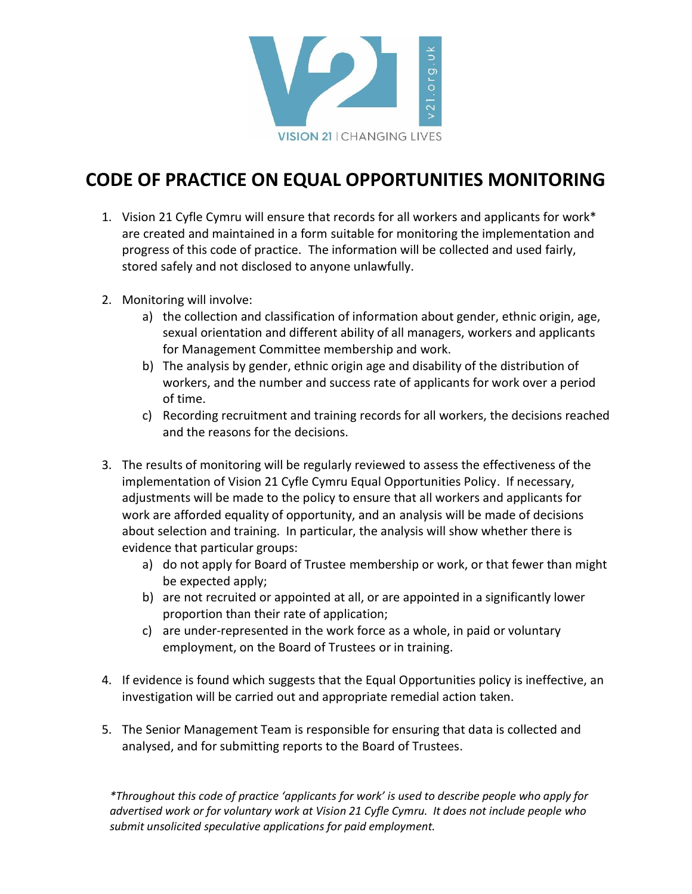

## **CODE OF PRACTICE ON EQUAL OPPORTUNITIES MONITORING**

- 1. Vision 21 Cyfle Cymru will ensure that records for all workers and applicants for work\* are created and maintained in a form suitable for monitoring the implementation and progress of this code of practice. The information will be collected and used fairly, stored safely and not disclosed to anyone unlawfully.
- 2. Monitoring will involve:
	- a) the collection and classification of information about gender, ethnic origin, age, sexual orientation and different ability of all managers, workers and applicants for Management Committee membership and work.
	- b) The analysis by gender, ethnic origin age and disability of the distribution of workers, and the number and success rate of applicants for work over a period of time.
	- c) Recording recruitment and training records for all workers, the decisions reached and the reasons for the decisions.
- 3. The results of monitoring will be regularly reviewed to assess the effectiveness of the implementation of Vision 21 Cyfle Cymru Equal Opportunities Policy. If necessary, adjustments will be made to the policy to ensure that all workers and applicants for work are afforded equality of opportunity, and an analysis will be made of decisions about selection and training. In particular, the analysis will show whether there is evidence that particular groups:
	- a) do not apply for Board of Trustee membership or work, or that fewer than might be expected apply;
	- b) are not recruited or appointed at all, or are appointed in a significantly lower proportion than their rate of application;
	- c) are under-represented in the work force as a whole, in paid or voluntary employment, on the Board of Trustees or in training.
- 4. If evidence is found which suggests that the Equal Opportunities policy is ineffective, an investigation will be carried out and appropriate remedial action taken.
- 5. The Senior Management Team is responsible for ensuring that data is collected and analysed, and for submitting reports to the Board of Trustees.

*\*Throughout this code of practice 'applicants for work' is used to describe people who apply for advertised work or for voluntary work at Vision 21 Cyfle Cymru. It does not include people who submit unsolicited speculative applications for paid employment.*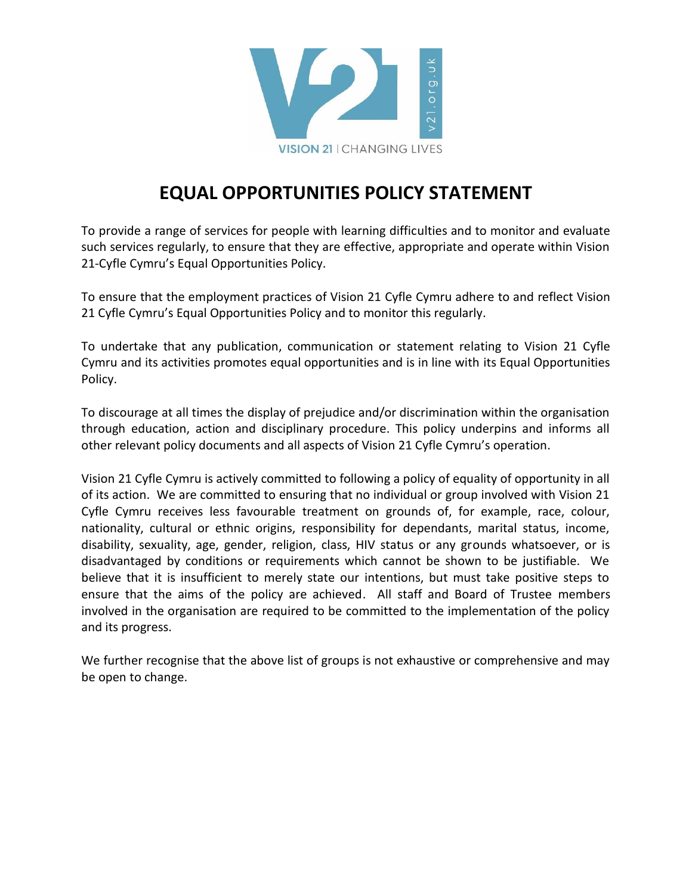

## **EQUAL OPPORTUNITIES POLICY STATEMENT**

To provide a range of services for people with learning difficulties and to monitor and evaluate such services regularly, to ensure that they are effective, appropriate and operate within Vision 21-Cyfle Cymru's Equal Opportunities Policy.

To ensure that the employment practices of Vision 21 Cyfle Cymru adhere to and reflect Vision 21 Cyfle Cymru's Equal Opportunities Policy and to monitor this regularly.

To undertake that any publication, communication or statement relating to Vision 21 Cyfle Cymru and its activities promotes equal opportunities and is in line with its Equal Opportunities Policy.

To discourage at all times the display of prejudice and/or discrimination within the organisation through education, action and disciplinary procedure. This policy underpins and informs all other relevant policy documents and all aspects of Vision 21 Cyfle Cymru's operation.

Vision 21 Cyfle Cymru is actively committed to following a policy of equality of opportunity in all of its action. We are committed to ensuring that no individual or group involved with Vision 21 Cyfle Cymru receives less favourable treatment on grounds of, for example, race, colour, nationality, cultural or ethnic origins, responsibility for dependants, marital status, income, disability, sexuality, age, gender, religion, class, HIV status or any grounds whatsoever, or is disadvantaged by conditions or requirements which cannot be shown to be justifiable. We believe that it is insufficient to merely state our intentions, but must take positive steps to ensure that the aims of the policy are achieved. All staff and Board of Trustee members involved in the organisation are required to be committed to the implementation of the policy and its progress.

We further recognise that the above list of groups is not exhaustive or comprehensive and may be open to change.